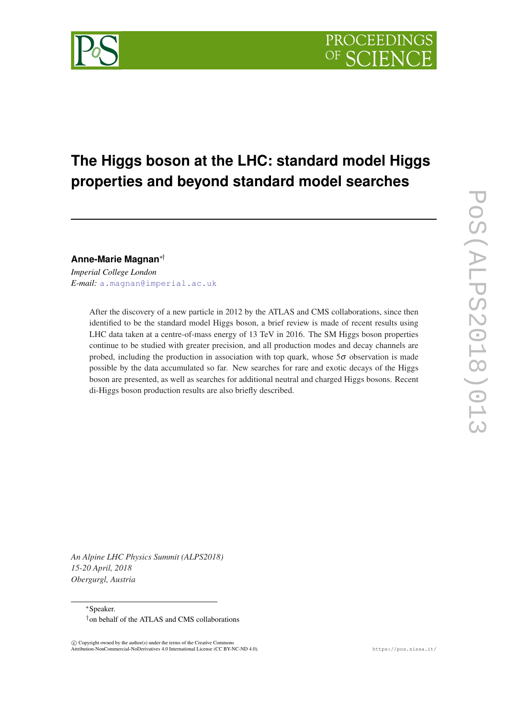# **The Higgs boson at the LHC: standard model Higgs properties and beyond standard model searches**

**Anne-Marie Magnan**∗†

*Imperial College London E-mail:* [a.magnan@imperial.ac.uk](mailto:a.magnan@imperial.ac.uk)

> After the discovery of a new particle in 2012 by the ATLAS and CMS collaborations, since then identified to be the standard model Higgs boson, a brief review is made of recent results using LHC data taken at a centre-of-mass energy of 13 TeV in 2016. The SM Higgs boson properties continue to be studied with greater precision, and all production modes and decay channels are probed, including the production in association with top quark, whose  $5\sigma$  observation is made possible by the data accumulated so far. New searches for rare and exotic decays of the Higgs boson are presented, as well as searches for additional neutral and charged Higgs bosons. Recent di-Higgs boson production results are also briefly described.

*An Alpine LHC Physics Summit (ALPS2018) 15-20 April, 2018 Obergurgl, Austria*

<sup>∗</sup>Speaker.

<sup>†</sup>on behalf of the ATLAS and CMS collaborations

 $\overline{c}$  Copyright owned by the author(s) under the terms of the Creative Common Attribution-NonCommercial-NoDerivatives 4.0 International License (CC BY-NC-ND 4.0). https://pos.sissa.it/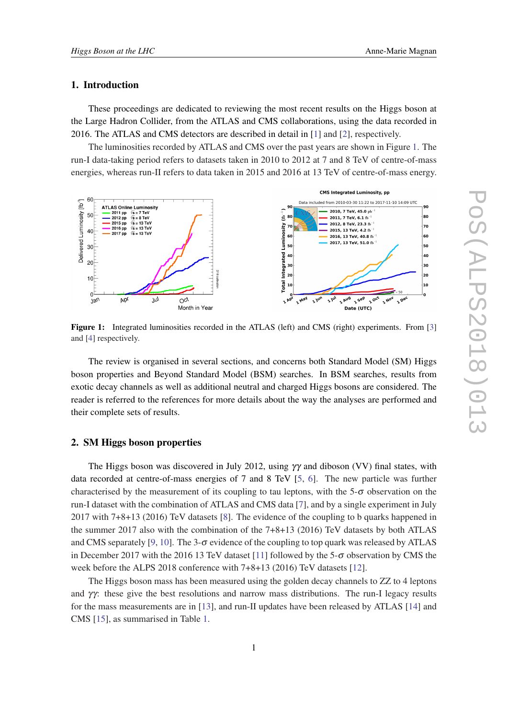#### 1. Introduction

These proceedings are dedicated to reviewing the most recent results on the Higgs boson at the Large Hadron Collider, from the ATLAS and CMS collaborations, using the data recorded in 2016. The ATLAS and CMS detectors are described in detail in [[1](#page-8-0)] and [[2\]](#page-8-0), respectively.

The luminosities recorded by ATLAS and CMS over the past years are shown in Figure 1. The run-I data-taking period refers to datasets taken in 2010 to 2012 at 7 and 8 TeV of centre-of-mass energies, whereas run-II refers to data taken in 2015 and 2016 at 13 TeV of centre-of-mass energy.



Figure 1: Integrated luminosities recorded in the ATLAS (left) and CMS (right) experiments. From [[3\]](#page-8-0) and [[4\]](#page-8-0) respectively.

The review is organised in several sections, and concerns both Standard Model (SM) Higgs boson properties and Beyond Standard Model (BSM) searches. In BSM searches, results from exotic decay channels as well as additional neutral and charged Higgs bosons are considered. The reader is referred to the references for more details about the way the analyses are performed and their complete sets of results.

#### 2. SM Higgs boson properties

The Higgs boson was discovered in July 2012, using  $\gamma\gamma$  and diboson (VV) final states, with data recorded at centre-of-mass energies of 7 and 8 TeV [[5](#page-8-0), [6\]](#page-8-0). The new particle was further characterised by the measurement of its coupling to tau leptons, with the  $5-\sigma$  observation on the run-I dataset with the combination of ATLAS and CMS data [\[7\]](#page-8-0), and by a single experiment in July 2017 with 7+8+13 (2016) TeV datasets [[8](#page-8-0)]. The evidence of the coupling to b quarks happened in the summer 2017 also with the combination of the 7+8+13 (2016) TeV datasets by both ATLAS and CMS separately [[9](#page-8-0), [10\]](#page-8-0). The 3- $\sigma$  evidence of the coupling to top quark was released by ATLAS in December 2017 with the 2016 13 TeV dataset [\[11](#page-8-0)] followed by the 5- $\sigma$  observation by CMS the week before the ALPS 2018 conference with 7+8+13 (2016) TeV datasets [\[12](#page-8-0)].

The Higgs boson mass has been measured using the golden decay channels to ZZ to 4 leptons and  $\gamma\gamma$ : these give the best resolutions and narrow mass distributions. The run-I legacy results for the mass measurements are in [\[13](#page-8-0)], and run-II updates have been released by ATLAS [[14\]](#page-8-0) and CMS [[15\]](#page-8-0), as summarised in Table [1](#page-2-0).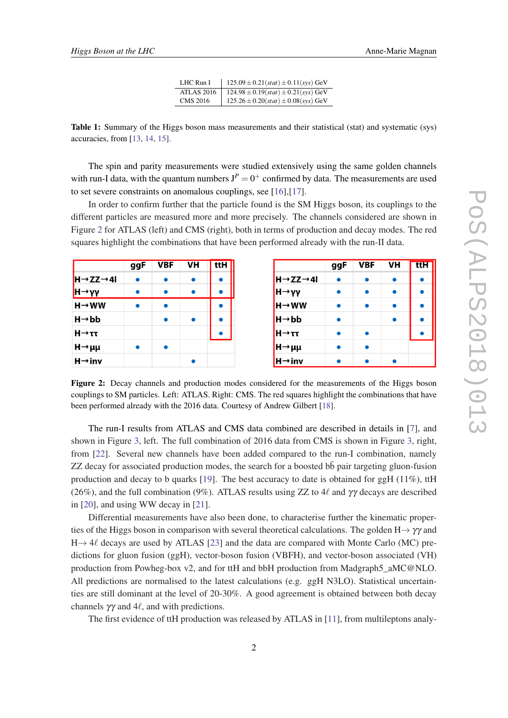| LHC Run I         | $125.09 \pm 0.21(stat) \pm 0.11(sys)$ GeV |
|-------------------|-------------------------------------------|
| <b>ATLAS 2016</b> | $124.98 \pm 0.19(stat) \pm 0.21(sys) GeV$ |
| <b>CMS 2016</b>   | $125.26 \pm 0.20(stat) \pm 0.08(sys)$ GeV |

<span id="page-2-0"></span>Table 1: Summary of the Higgs boson mass measurements and their statistical (stat) and systematic (sys) accuracies, from [[13,](#page-8-0) [14,](#page-8-0) [15\]](#page-8-0).

The spin and parity measurements were studied extensively using the same golden channels with run-I data, with the quantum numbers  $J^P = 0^+$  confirmed by data. The measurements are used to set severe constraints on anomalous couplings, see [\[16](#page-8-0)],[\[17](#page-8-0)].

In order to confirm further that the particle found is the SM Higgs boson, its couplings to the different particles are measured more and more precisely. The channels considered are shown in Figure 2 for ATLAS (left) and CMS (right), both in terms of production and decay modes. The red squares highlight the combinations that have been performed already with the run-II data.

|                                   | ggF       | VBF | VH        | ttH       |
|-----------------------------------|-----------|-----|-----------|-----------|
| $H \rightarrow ZZ \rightarrow 4I$ | $\bullet$ |     | $\bullet$ | $\bullet$ |
| ∥Н→γγ                             | $\bullet$ |     | $\bullet$ |           |
| $H \rightarrow WW$                | ٠         |     |           |           |
| $H \rightarrow bb$                |           |     | $\bullet$ |           |
| $H \rightarrow \tau \tau$         |           |     |           |           |
| $H \rightarrow \mu\mu$            | $\bullet$ |     |           |           |
| $H \rightarrow inv$               |           |     | $\bullet$ |           |

Figure 2: Decay channels and production modes considered for the measurements of the Higgs boson couplings to SM particles. Left: ATLAS. Right: CMS. The red squares highlight the combinations that have been performed already with the 2016 data. Courtesy of Andrew Gilbert [[18](#page-8-0)].

The run-I results from ATLAS and CMS data combined are described in details in [[7](#page-8-0)], and shown in Figure [3,](#page-3-0) left. The full combination of 2016 data from CMS is shown in Figure [3,](#page-3-0) right, from [\[22](#page-8-0)]. Several new channels have been added compared to the run-I combination, namely ZZ decay for associated production modes, the search for a boosted bb pair targeting gluon-fusion ¯ production and decay to b quarks [[19\]](#page-8-0). The best accuracy to date is obtained for ggH  $(11\%)$ , ttH (26%), and the full combination (9%). ATLAS results using ZZ to 4 $\ell$  and γγ decays are described in [\[20](#page-8-0)], and using WW decay in [\[21](#page-8-0)].

Differential measurements have also been done, to characterise further the kinematic properties of the Higgs boson in comparison with several theoretical calculations. The golden H $\rightarrow \gamma \gamma$  and  $H \rightarrow 4\ell$  decays are used by ATLAS [\[23](#page-8-0)] and the data are compared with Monte Carlo (MC) predictions for gluon fusion (ggH), vector-boson fusion (VBFH), and vector-boson associated (VH) production from Powheg-box v2, and for ttH and bbH production from Madgraph5\_aMC@NLO. All predictions are normalised to the latest calculations (e.g. ggH N3LO). Statistical uncertainties are still dominant at the level of 20-30%. A good agreement is obtained between both decay channels  $\gamma\gamma$  and 4 $\ell$ , and with predictions.

The first evidence of ttH production was released by ATLAS in [[11\]](#page-8-0), from multileptons analy-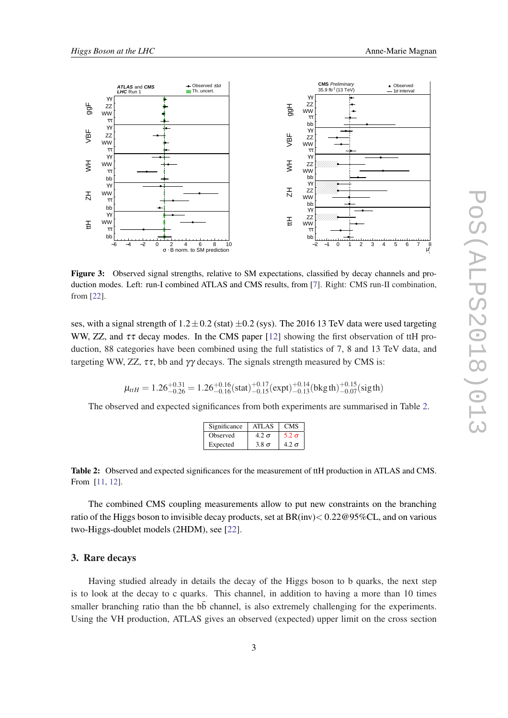<span id="page-3-0"></span>

Figure 3: Observed signal strengths, relative to SM expectations, classified by decay channels and production modes. Left: run-I combined ATLAS and CMS results, from [[7\]](#page-8-0). Right: CMS run-II combination, from [[22](#page-8-0)].

ses, with a signal strength of  $1.2 \pm 0.2$  (stat)  $\pm 0.2$  (sys). The 2016 13 TeV data were used targeting WW, ZZ, and  $\tau\tau$  decay modes. In the CMS paper [[12\]](#page-8-0) showing the first observation of ttH production, 88 categories have been combined using the full statistics of 7, 8 and 13 TeV data, and targeting WW, ZZ,  $\tau\tau$ , bb and  $\gamma\gamma$  decays. The signals strength measured by CMS is:

$$
\mu_{ttH} = 1.26^{+0.31}_{-0.26} = 1.26^{+0.16}_{-0.16} \textrm{(stat)} ^{+0.17}_{-0.15} \textrm{(expt)} ^{+0.14}_{-0.13} \textrm{(bkg\,th)} ^{+0.15}_{-0.07} \textrm{(sig\,th)}
$$

The observed and expected significances from both experiments are summarised in Table 2.

| Significance | ATLAS        | <b>CMS</b>   |
|--------------|--------------|--------------|
| Observed     | $4.2 \sigma$ | $5.2 \sigma$ |
| Expected     | $3.8 \sigma$ | $4.2 \sigma$ |

Table 2: Observed and expected significances for the measurement of ttH production in ATLAS and CMS. From [\[11](#page-8-0), [12](#page-8-0)].

The combined CMS coupling measurements allow to put new constraints on the branching ratio of the Higgs boson to invisible decay products, set at  $BR(nv) < 0.22@95\% CL$ , and on various two-Higgs-doublet models (2HDM), see [[22](#page-8-0)].

## 3. Rare decays

Having studied already in details the decay of the Higgs boson to b quarks, the next step is to look at the decay to c quarks. This channel, in addition to having a more than 10 times smaller branching ratio than the  $b\bar{b}$  channel, is also extremely challenging for the experiments. Using the VH production, ATLAS gives an observed (expected) upper limit on the cross section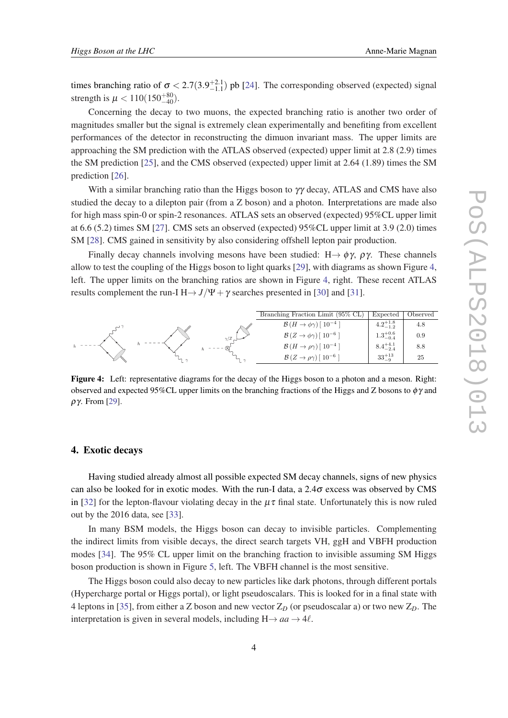times branching ratio of  $\sigma < 2.7(3.9^{+2.1}_{-1.1})$  pb [\[24](#page-8-0)]. The corresponding observed (expected) signal strength is  $\mu < 110(150^{+80}_{-40})$ .

Concerning the decay to two muons, the expected branching ratio is another two order of magnitudes smaller but the signal is extremely clean experimentally and benefiting from excellent performances of the detector in reconstructing the dimuon invariant mass. The upper limits are approaching the SM prediction with the ATLAS observed (expected) upper limit at 2.8 (2.9) times the SM prediction [[25\]](#page-8-0), and the CMS observed (expected) upper limit at 2.64 (1.89) times the SM prediction [[26\]](#page-8-0).

With a similar branching ratio than the Higgs boson to  $\gamma\gamma$  decay, ATLAS and CMS have also studied the decay to a dilepton pair (from a Z boson) and a photon. Interpretations are made also for high mass spin-0 or spin-2 resonances. ATLAS sets an observed (expected) 95%CL upper limit at 6.6 (5.2) times SM [[27\]](#page-8-0). CMS sets an observed (expected) 95%CL upper limit at 3.9 (2.0) times SM [\[28](#page-9-0)]. CMS gained in sensitivity by also considering offshell lepton pair production.

Finally decay channels involving mesons have been studied: H $\rightarrow \phi \gamma$ ,  $\rho \gamma$ . These channels allow to test the coupling of the Higgs boson to light quarks [[29\]](#page-9-0), with diagrams as shown Figure 4, left. The upper limits on the branching ratios are shown in Figure 4, right. These recent ATLAS results complement the run-I H $\rightarrow$  *J*/Ψ +  $\gamma$  searches presented in [\[30](#page-9-0)] and [[31](#page-9-0)].



Figure 4: Left: representative diagrams for the decay of the Higgs boson to a photon and a meson. Right: observed and expected 95%CL upper limits on the branching fractions of the Higgs and Z bosons to  $\phi\gamma$  and ργ. From [[29](#page-9-0)].

#### 4. Exotic decays

Having studied already almost all possible expected SM decay channels, signs of new physics can also be looked for in exotic modes. With the run-I data, a  $2.4\sigma$  excess was observed by CMS in [\[32](#page-9-0)] for the lepton-flavour violating decay in the  $\mu\tau$  final state. Unfortunately this is now ruled out by the 2016 data, see [\[33](#page-9-0)].

In many BSM models, the Higgs boson can decay to invisible particles. Complementing the indirect limits from visible decays, the direct search targets VH, ggH and VBFH production modes [[34\]](#page-9-0). The 95% CL upper limit on the branching fraction to invisible assuming SM Higgs boson production is shown in Figure [5,](#page-5-0) left. The VBFH channel is the most sensitive.

The Higgs boson could also decay to new particles like dark photons, through different portals (Hypercharge portal or Higgs portal), or light pseudoscalars. This is looked for in a final state with 4 leptons in [\[35\]](#page-9-0), from either a Z boson and new vector  $Z_D$  (or pseudoscalar a) or two new  $Z_D$ . The interpretation is given in several models, including  $H \rightarrow aa \rightarrow 4\ell$ .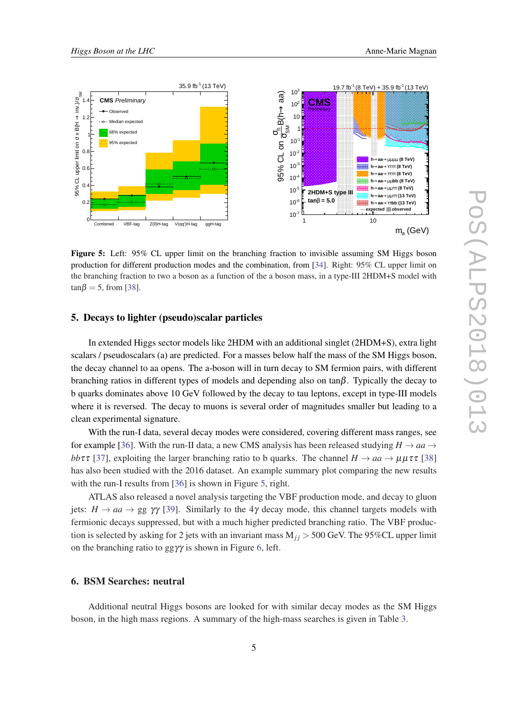<span id="page-5-0"></span>

Figure 5: Left: 95% CL upper limit on the branching fraction to invisible assuming SM Higgs boson production for different production modes and the combination, from [\[34\]](#page-9-0). Right: 95% CL upper limit on the branching fraction to two a boson as a function of the a boson mass, in a type-III 2HDM+S model with  $tan \beta = 5$ , from [[38](#page-9-0)].

#### 5. Decays to lighter (pseudo)scalar particles

In extended Higgs sector models like 2HDM with an additional singlet (2HDM+S), extra light scalars / pseudoscalars (a) are predicted. For a masses below half the mass of the SM Higgs boson, the decay channel to aa opens. The a-boson will in turn decay to SM fermion pairs, with different branching ratios in different types of models and depending also on tan $\beta$ . Typically the decay to b quarks dominates above 10 GeV followed by the decay to tau leptons, except in type-III models where it is reversed. The decay to muons is several order of magnitudes smaller but leading to a clean experimental signature.

With the run-I data, several decay modes were considered, covering different mass ranges, see for example [[36\]](#page-9-0). With the run-II data, a new CMS analysis has been released studying  $H \rightarrow aa \rightarrow$ *bb*ττ [[37\]](#page-9-0), exploiting the larger branching ratio to b quarks. The channel  $H \to aa \to \mu \mu \tau \tau$  [\[38](#page-9-0)] has also been studied with the 2016 dataset. An example summary plot comparing the new results with the run-I results from [[36\]](#page-9-0) is shown in Figure 5, right.

ATLAS also released a novel analysis targeting the VBF production mode, and decay to gluon jets:  $H \to aa \to gg$   $\gamma\gamma$  [\[39](#page-9-0)]. Similarly to the 4 $\gamma$  decay mode, this channel targets models with fermionic decays suppressed, but with a much higher predicted branching ratio. The VBF production is selected by asking for 2 jets with an invariant mass  $M_{ij}$  > 500 GeV. The 95%CL upper limit on the branching ratio to gg $\gamma\gamma$  is shown in Figure [6,](#page-6-0) left.

#### 6. BSM Searches: neutral

Additional neutral Higgs bosons are looked for with similar decay modes as the SM Higgs boson, in the high mass regions. A summary of the high-mass searches is given in Table [3.](#page-6-0)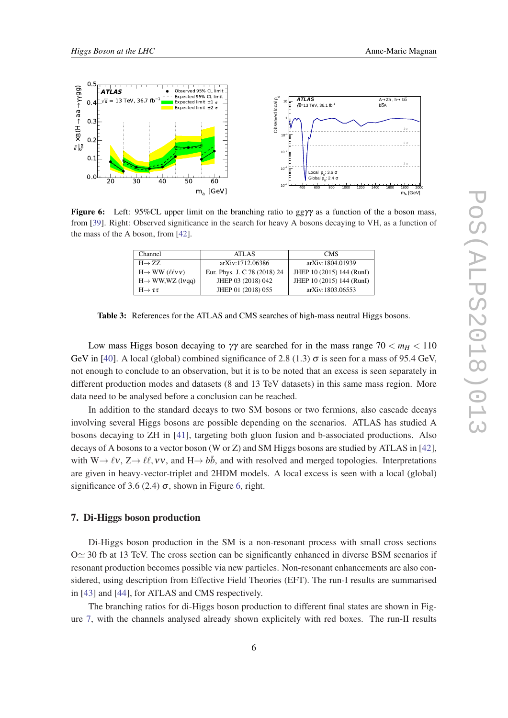<span id="page-6-0"></span>

Figure 6: Left: 95%CL upper limit on the branching ratio to ggγγ as a function of the a boson mass, from [[39\]](#page-9-0). Right: Observed significance in the search for heavy A bosons decaying to VH, as a function of the mass of the A boson, from [[42](#page-9-0)].

| Channel                                | <b>ATLAS</b>                 | <b>CMS</b>                |
|----------------------------------------|------------------------------|---------------------------|
| $H \rightarrow ZZ$                     | arXiv:1712.06386             | arXiv:1804.01939          |
| $H \rightarrow WW$ (llvv)              | Eur. Phys. J. C 78 (2018) 24 | JHEP 10 (2015) 144 (RunI) |
| $H \rightarrow WW, WZ$ (1 <i>vgg</i> ) | JHEP 03 (2018) 042           | JHEP 10 (2015) 144 (RunI) |
| $H \rightarrow \tau \tau$              | JHEP 01 (2018) 055           | arXiv:1803.06553          |

Table 3: References for the ATLAS and CMS searches of high-mass neutral Higgs bosons.

Low mass Higgs boson decaying to  $\gamma\gamma$  are searched for in the mass range  $70 < m_H < 110$ GeV in [\[40](#page-9-0)]. A local (global) combined significance of 2.8 (1.3)  $\sigma$  is seen for a mass of 95.4 GeV, not enough to conclude to an observation, but it is to be noted that an excess is seen separately in different production modes and datasets (8 and 13 TeV datasets) in this same mass region. More data need to be analysed before a conclusion can be reached.

In addition to the standard decays to two SM bosons or two fermions, also cascade decays involving several Higgs bosons are possible depending on the scenarios. ATLAS has studied A bosons decaying to ZH in [[41\]](#page-9-0), targeting both gluon fusion and b-associated productions. Also decays of A bosons to a vector boson (W or Z) and SM Higgs bosons are studied by ATLAS in [[42\]](#page-9-0), with  $W \rightarrow \ell v$ ,  $Z \rightarrow \ell \ell$ ,  $v v$ , and  $H \rightarrow b\bar{b}$ , and with resolved and merged topologies. Interpretations are given in heavy-vector-triplet and 2HDM models. A local excess is seen with a local (global) significance of 3.6 (2.4)  $\sigma$ , shown in Figure 6, right.

## 7. Di-Higgs boson production

Di-Higgs boson production in the SM is a non-resonant process with small cross sections  $O \simeq 30$  fb at 13 TeV. The cross section can be significantly enhanced in diverse BSM scenarios if resonant production becomes possible via new particles. Non-resonant enhancements are also considered, using description from Effective Field Theories (EFT). The run-I results are summarised in [\[43](#page-9-0)] and [[44](#page-9-0)], for ATLAS and CMS respectively.

The branching ratios for di-Higgs boson production to different final states are shown in Figure [7,](#page-7-0) with the channels analysed already shown explicitely with red boxes. The run-II results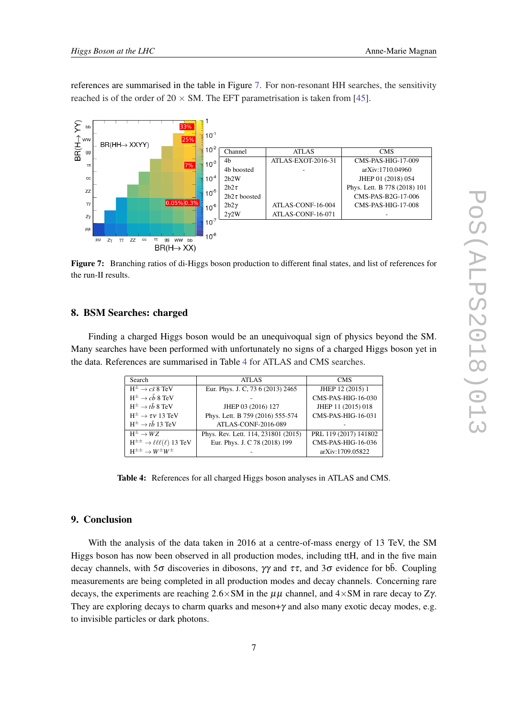<span id="page-7-0"></span>references are summarised in the table in Figure 7. For non-resonant HH searches, the sensitivity reached is of the order of  $20 \times SM$ . The EFT parametrisation is taken from [[45\]](#page-9-0).



Figure 7: Branching ratios of di-Higgs boson production to different final states, and list of references for the run-II results.

## 8. BSM Searches: charged

Finding a charged Higgs boson would be an unequivoqual sign of physics beyond the SM. Many searches have been performed with unfortunately no signs of a charged Higgs boson yet in the data. References are summarised in Table 4 for ATLAS and CMS searches.

| Search                                               | ATLAS                               | <b>CMS</b>            |
|------------------------------------------------------|-------------------------------------|-----------------------|
| $H^{\pm} \rightarrow c\bar{s}$ 8 TeV                 | Eur. Phys. J. C, 73 6 (2013) 2465   | JHEP 12 (2015) 1      |
| $H^{\pm} \rightarrow c\bar{b}$ 8 TeV                 |                                     | CMS-PAS-HIG-16-030    |
| $H^{\pm} \rightarrow t\bar{b}$ 8 TeV                 | JHEP 03 (2016) 127                  | JHEP 11 (2015) 018    |
| $H^{\pm} \rightarrow \tau v$ 13 TeV                  | Phys. Lett. B 759 (2016) 555-574    | CMS-PAS-HIG-16-031    |
| $H^{\pm} \rightarrow t\bar{b}$ 13 TeV                | ATLAS-CONF-2016-089                 |                       |
| $H^{\pm} \rightarrow WZ$                             | Phys. Rev. Lett. 114, 231801 (2015) | PRL 119 (2017) 141802 |
| $H^{\pm\pm} \rightarrow \ell \ell \ell(\ell)$ 13 TeV | Eur. Phys. J. C 78 (2018) 199       | CMS-PAS-HIG-16-036    |
| $H^{\pm\pm} \rightarrow W^{\pm}W^{\pm}$              |                                     | arXiv:1709.05822      |

Table 4: References for all charged Higgs boson analyses in ATLAS and CMS.

## 9. Conclusion

With the analysis of the data taken in 2016 at a centre-of-mass energy of 13 TeV, the SM Higgs boson has now been observed in all production modes, including ttH, and in the five main decay channels, with 5 $\sigma$  discoveries in dibosons,  $\gamma\gamma$  and  $\tau\tau$ , and 3 $\sigma$  evidence for bb. Coupling measurements are being completed in all production modes and decay channels. Concerning rare decays, the experiments are reaching  $2.6 \times SM$  in the  $\mu\mu$  channel, and  $4 \times SM$  in rare decay to Z $\gamma$ . They are exploring decays to charm quarks and meson+ $\gamma$  and also many exotic decay modes, e.g. to invisible particles or dark photons.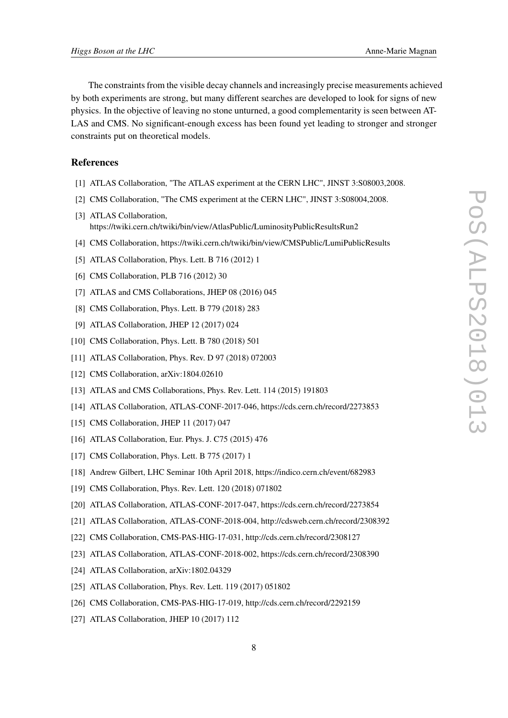<span id="page-8-0"></span>The constraints from the visible decay channels and increasingly precise measurements achieved by both experiments are strong, but many different searches are developed to look for signs of new physics. In the objective of leaving no stone unturned, a good complementarity is seen between AT-LAS and CMS. No significant-enough excess has been found yet leading to stronger and stronger constraints put on theoretical models.

#### References

- [1] ATLAS Collaboration, "The ATLAS experiment at the CERN LHC", JINST 3:S08003,2008.
- [2] CMS Collaboration, "The CMS experiment at the CERN LHC", JINST 3:S08004,2008.
- [3] ATLAS Collaboration, https://twiki.cern.ch/twiki/bin/view/AtlasPublic/LuminosityPublicResultsRun2
- [4] CMS Collaboration, https://twiki.cern.ch/twiki/bin/view/CMSPublic/LumiPublicResults
- [5] ATLAS Collaboration, Phys. Lett. B 716 (2012) 1
- [6] CMS Collaboration, PLB 716 (2012) 30
- [7] ATLAS and CMS Collaborations, JHEP 08 (2016) 045
- [8] CMS Collaboration, Phys. Lett. B 779 (2018) 283
- [9] ATLAS Collaboration, JHEP 12 (2017) 024
- [10] CMS Collaboration, Phys. Lett. B 780 (2018) 501
- [11] ATLAS Collaboration, Phys. Rev. D 97 (2018) 072003
- [12] CMS Collaboration, arXiv:1804.02610
- [13] ATLAS and CMS Collaborations, Phys. Rev. Lett. 114 (2015) 191803
- [14] ATLAS Collaboration, ATLAS-CONF-2017-046, https://cds.cern.ch/record/2273853
- [15] CMS Collaboration, JHEP 11 (2017) 047
- [16] ATLAS Collaboration, Eur. Phys. J. C75 (2015) 476
- [17] CMS Collaboration, Phys. Lett. B 775 (2017) 1
- [18] Andrew Gilbert, LHC Seminar 10th April 2018, https://indico.cern.ch/event/682983
- [19] CMS Collaboration, Phys. Rev. Lett. 120 (2018) 071802
- [20] ATLAS Collaboration, ATLAS-CONF-2017-047, https://cds.cern.ch/record/2273854
- [21] ATLAS Collaboration, ATLAS-CONF-2018-004, http://cdsweb.cern.ch/record/2308392
- [22] CMS Collaboration, CMS-PAS-HIG-17-031, http://cds.cern.ch/record/2308127
- [23] ATLAS Collaboration, ATLAS-CONF-2018-002, https://cds.cern.ch/record/2308390
- [24] ATLAS Collaboration, arXiv:1802.04329
- [25] ATLAS Collaboration, Phys. Rev. Lett. 119 (2017) 051802
- [26] CMS Collaboration, CMS-PAS-HIG-17-019, http://cds.cern.ch/record/2292159
- [27] ATLAS Collaboration, JHEP 10 (2017) 112